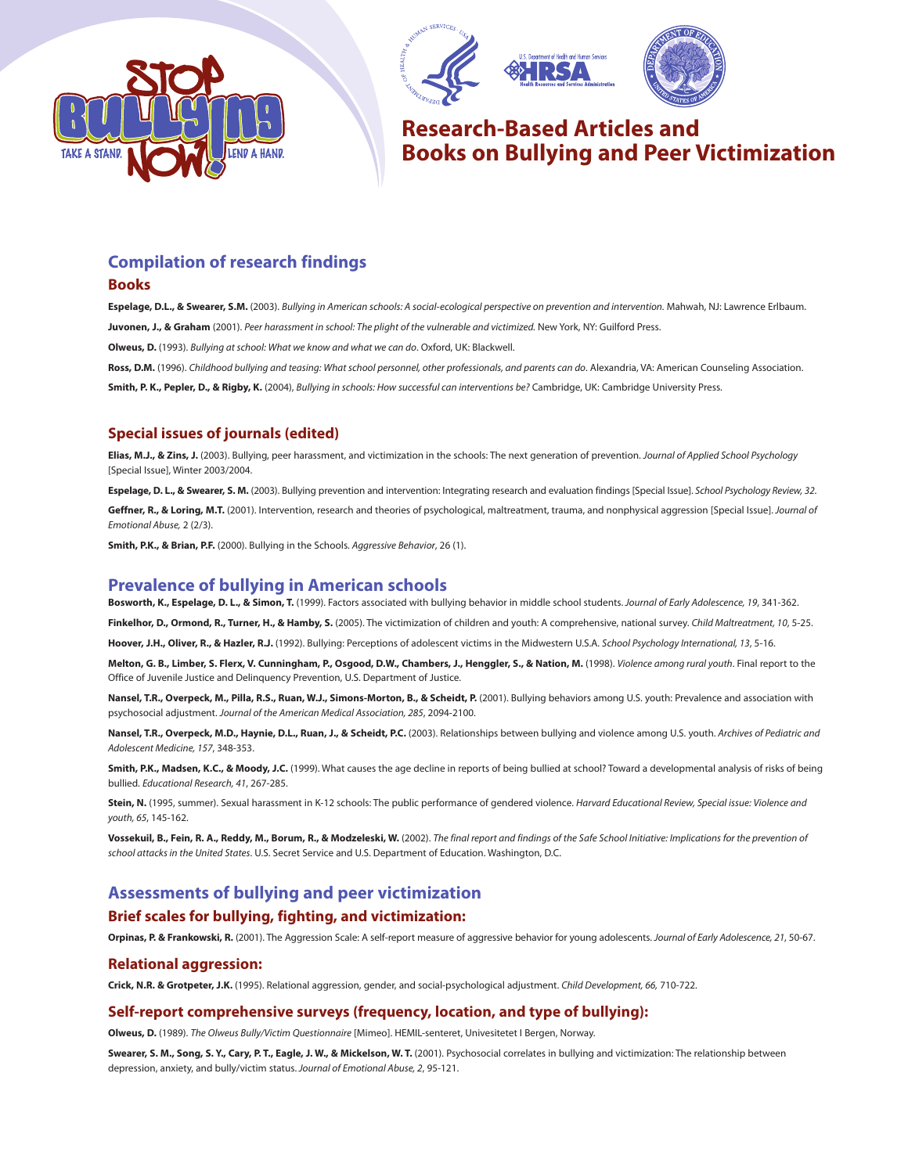





# **Research-Based Articles and Books on Bullying and Peer Victimization**

## **Compilation of research findings**

#### **Books**

**Espelage, D.L., & Swearer, S.M.** (2003). Bullying in American schools: A social-ecological perspective on prevention and intervention. Mahwah, NJ: Lawrence Erlbaum. **Juvonen, J., & Graham** (2001). Peer harassment in school: The plight of the vulnerable and victimized. New York, NY: Guilford Press.

**Olweus, D.** (1993). Bullying at school: What we know and what we can do. Oxford, UK: Blackwell.

**Ross, D.M.** (1996). Childhood bullying and teasing: What school personnel, other professionals, and parents can do. Alexandria, VA: American Counseling Association. **Smith, P. K., Pepler, D., & Rigby, K.** (2004), Bullying in schools: How successful can interventions be? Cambridge, UK: Cambridge University Press.

### **Special issues of journals (edited)**

**Elias, M.J., & Zins, J.** (2003). Bullying, peer harassment, and victimization in the schools: The next generation of prevention. Journal of Applied School Psychology [Special Issue], Winter 2003/2004.

Espelage, D. L., & Swearer, S. M. (2003). Bullying prevention and intervention: Integrating research and evaluation findings [Special Issue]. School Psychology Review, 32.

Geffner, R., & Loring, M.T. (2001). Intervention, research and theories of psychological, maltreatment, trauma, and nonphysical aggression [Special Issue]. Journal of Emotional Abuse, 2 (2/3).

**Smith, P.K., & Brian, P.F.** (2000). Bullying in the Schools. Aggressive Behavior, 26 (1).

## **Prevalence of bullying in American schools**

**Bosworth, K., Espelage, D. L., & Simon, T.** (1999). Factors associated with bullying behavior in middle school students. Journal of Early Adolescence, 19, 341-362.

Finkelhor, D., Ormond, R., Turner, H., & Hamby, S. (2005). The victimization of children and youth: A comprehensive, national survey. Child Maltreatment, 10, 5-25.

**Hoover, J.H., Oliver, R., & Hazler, R.J.** (1992). Bullying: Perceptions of adolescent victims in the Midwestern U.S.A. School Psychology International, 13, 5-16.

**Melton, G. B., Limber, S. Flerx, V. Cunningham, P., Osgood, D.W., Chambers, J., Henggler, S., & Nation, M.** (1998). Violence among rural youth. Final report to the Office of Juvenile Justice and Delinquency Prevention, U.S. Department of Justice.

**Nansel, T.R., Overpeck, M., Pilla, R.S., Ruan, W.J., Simons-Morton, B., & Scheidt, P.** (2001). Bullying behaviors among U.S. youth: Prevalence and association with psychosocial adjustment. Journal of the American Medical Association, 285, 2094-2100.

Nansel, T.R., Overpeck, M.D., Haynie, D.L., Ruan, J., & Scheidt, P.C. (2003). Relationships between bullying and violence among U.S. youth. Archives of Pediatric and Adolescent Medicine, 157, 348-353.

**Smith, P.K., Madsen, K.C., & Moody, J.C.** (1999). What causes the age decline in reports of being bullied at school? Toward a developmental analysis of risks of being bullied. Educational Research, 41, 267-285.

Stein, N. (1995, summer). Sexual harassment in K-12 schools: The public performance of gendered violence. Harvard Educational Review, Special issue: Violence and youth, 65, 145-162.

**Vossekuil, B., Fein, R. A., Reddy, M., Borum, R., & Modzeleski, W.** (2002). The final report and findings of the Safe School Initiative: Implications for the prevention of school attacks in the United States. U.S. Secret Service and U.S. Department of Education. Washington, D.C.

## **Assessments of bullying and peer victimization**

#### **Brief scales for bullying, fighting, and victimization:**

**Orpinas, P. & Frankowski, R.** (2001). The Aggression Scale: A self-report measure of aggressive behavior for young adolescents. Journal of Early Adolescence, 21, 50-67.

#### **Relational aggression:**

**Crick, N.R. & Grotpeter, J.K.** (1995). Relational aggression, gender, and social-psychological adjustment. Child Development, 66, 710-722.

### **Self-report comprehensive surveys (frequency, location, and type of bullying):**

**Olweus, D.** (1989). The Olweus Bully/Victim Questionnaire [Mimeo]. HEMIL-senteret, Univesitetet I Bergen, Norway.

**Swearer, S. M., Song, S. Y., Cary, P. T., Eagle, J. W., & Mickelson, W. T.** (2001). Psychosocial correlates in bullying and victimization: The relationship between depression, anxiety, and bully/victim status. Journal of Emotional Abuse, 2, 95-121.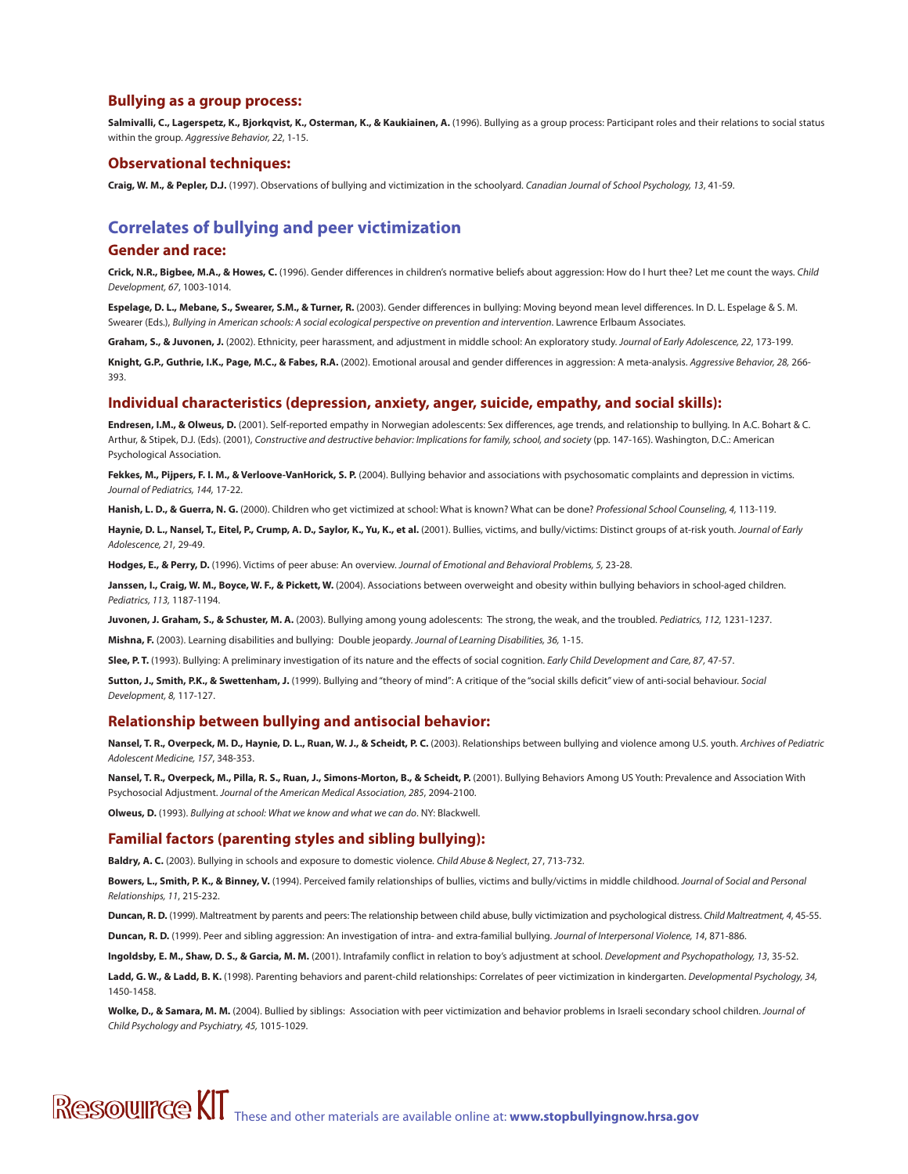#### **Bullying as a group process:**

Salmivalli, C., Lagerspetz, K., Bjorkqvist, K., Osterman, K., & Kaukiainen, A. (1996). Bullying as a group process: Participant roles and their relations to social status within the group. Aggressive Behavior, 22, 1-15.

#### **Observational techniques:**

**Craig, W. M., & Pepler, D.J.** (1997). Observations of bullying and victimization in the schoolyard. Canadian Journal of School Psychology, 13, 41-59.

## **Correlates of bullying and peer victimization**

#### **Gender and race:**

**Crick, N.R., Bigbee, M.A., & Howes, C.** (1996). Gender differences in children's normative beliefs about aggression: How do I hurt thee? Let me count the ways. Child Development, 67, 1003-1014.

Espelage, D. L., Mebane, S., Swearer, S.M., & Turner, R. (2003). Gender differences in bullying: Moving beyond mean level differences. In D. L. Espelage & S. M. Swearer (Eds.), Bullying in American schools: A social ecological perspective on prevention and intervention. Lawrence Erlbaum Associates.

**Graham, S., & Juvonen, J.** (2002). Ethnicity, peer harassment, and adjustment in middle school: An exploratory study. Journal of Early Adolescence, 22, 173-199.

**Knight, G.P., Guthrie, I.K., Page, M.C., & Fabes, R.A.** (2002). Emotional arousal and gender differences in aggression: A meta-analysis. Aggressive Behavior, 28, 266- 393.

#### **Individual characteristics (depression, anxiety, anger, suicide, empathy, and social skills):**

**Endresen, I.M., & Olweus, D.** (2001). Self-reported empathy in Norwegian adolescents: Sex differences, age trends, and relationship to bullying. In A.C. Bohart & C. Arthur, & Stipek, D.J. (Eds). (2001), Constructive and destructive behavior: Implications for family, school, and society (pp. 147-165). Washington, D.C.: American Psychological Association.

Fekkes, M., Pijpers, F. I. M., & Verloove-VanHorick, S. P. (2004). Bullying behavior and associations with psychosomatic complaints and depression in victims. Journal of Pediatrics, 144, 17-22.

Hanish, L. D., & Guerra, N. G. (2000). Children who get victimized at school: What is known? What can be done? Professional School Counseling, 4, 113-119.

**Haynie, D. L., Nansel, T., Eitel, P., Crump, A. D., Saylor, K., Yu, K., et al.** (2001). Bullies, victims, and bully/victims: Distinct groups of at-risk youth. Journal of Early Adolescence, 21, 29-49.

**Hodges, E., & Perry, D.** (1996). Victims of peer abuse: An overview. Journal of Emotional and Behavioral Problems, 5, 23-28.

**Janssen, I., Craig, W. M., Boyce, W. F., & Pickett, W.** (2004). Associations between overweight and obesity within bullying behaviors in school-aged children. Pediatrics, 113, 1187-1194.

**Juvonen, J. Graham, S., & Schuster, M. A.** (2003). Bullying among young adolescents: The strong, the weak, and the troubled. Pediatrics, 112, 1231-1237.

**Mishna, F.** (2003). Learning disabilities and bullying: Double jeopardy. Journal of Learning Disabilities, 36, 1-15.

**Slee, P. T.** (1993). Bullying: A preliminary investigation of its nature and the effects of social cognition. Early Child Development and Care, 87, 47-57.

**Sutton, J., Smith, P.K., & Swettenham, J.** (1999). Bullying and "theory of mind": A critique of the "social skills deficit" view of anti-social behaviour. Social Development, 8, 117-127.

#### **Relationship between bullying and antisocial behavior:**

Nansel, T. R., Overpeck, M. D., Haynie, D. L., Ruan, W. J., & Scheidt, P. C. (2003). Relationships between bullying and violence among U.S. youth. Archives of Pediatric Adolescent Medicine, 157, 348-353.

Nansel, T. R., Overpeck, M., Pilla, R. S., Ruan, J., Simons-Morton, B., & Scheidt, P. (2001). Bullying Behaviors Among US Youth: Prevalence and Association With Psychosocial Adjustment. Journal of the American Medical Association, 285, 2094-2100.

**Olweus, D.** (1993). Bullying at school: What we know and what we can do. NY: Blackwell.

#### **Familial factors (parenting styles and sibling bullying):**

**Baldry, A. C.** (2003). Bullying in schools and exposure to domestic violence. Child Abuse & Neglect, 27, 713-732.

Bowers, L., Smith, P. K., & Binney, V. (1994). Perceived family relationships of bullies, victims and bully/victims in middle childhood. Journal of Social and Personal Relationships, 11, 215-232.

**Duncan, R. D.** (1999). Maltreatment by parents and peers: The relationship between child abuse, bully victimization and psychological distress. Child Maltreatment, 4, 45-55.

**Duncan, R. D.** (1999). Peer and sibling aggression: An investigation of intra- and extra-familial bullying. Journal of Interpersonal Violence, 14, 871-886.

**Ingoldsby, E. M., Shaw, D. S., & Garcia, M. M.** (2001). Intrafamily conflict in relation to boy's adjustment at school. Development and Psychopathology, 13, 35-52.

Ladd, G. W., & Ladd, B. K. (1998). Parenting behaviors and parent-child relationships: Correlates of peer victimization in kindergarten. Developmental Psychology, 34, 1450-1458.

**Wolke, D., & Samara, M. M.** (2004). Bullied by siblings: Association with peer victimization and behavior problems in Israeli secondary school children. Journal of Child Psychology and Psychiatry, 45, 1015-1029.